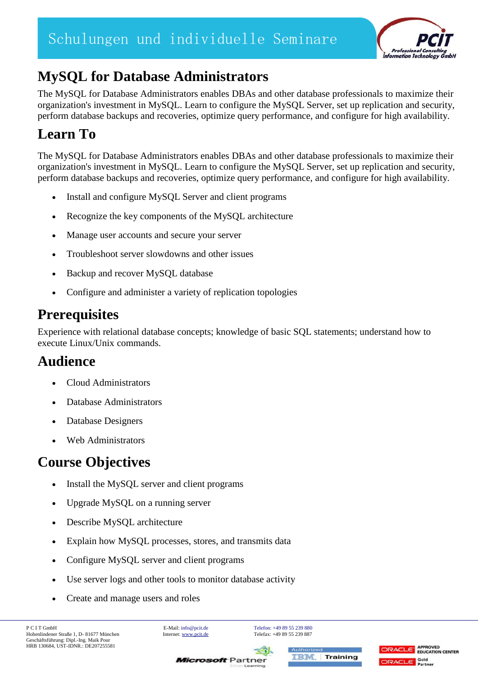

## **MySQL for Database Administrators**

The MySQL for Database Administrators enables DBAs and other database professionals to maximize their organization's investment in MySQL. Learn to configure the MySQL Server, set up replication and security, perform database backups and recoveries, optimize query performance, and configure for high availability.

## **Learn To**

The MySQL for Database Administrators enables DBAs and other database professionals to maximize their organization's investment in MySQL. Learn to configure the MySQL Server, set up replication and security, perform database backups and recoveries, optimize query performance, and configure for high availability.

- Install and configure MySQL Server and client programs
- Recognize the key components of the MySQL architecture
- Manage user accounts and secure your server
- Troubleshoot server slowdowns and other issues
- Backup and recover MySQL database
- Configure and administer a variety of replication topologies

#### **Prerequisites**

Experience with relational database concepts; knowledge of basic SQL statements; understand how to execute Linux/Unix commands.

#### **Audience**

- Cloud Administrators
- Database Administrators
- Database Designers
- Web Administrators

## **Course Objectives**

- Install the MySQL server and client programs
- Upgrade MySQL on a running server
- Describe MySQL architecture
- Explain how MySQL processes, stores, and transmits data
- Configure MySQL server and client programs
- Use server logs and other tools to monitor database activity
- Create and manage users and roles

**Microsoft** Partner